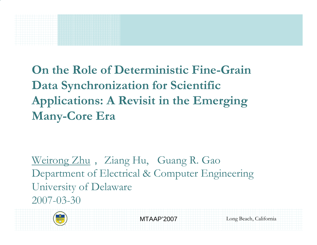**On the Role of Deterministic Fine-Grain Data Synchronization for Scientific Applications: A Revisit in the Emerging Many-Core Era**

Weirong Zhu, Ziang Hu, Guang R. Gao Department of Electrical & Computer Engineering University of Delaware 2007-03-30



MTAAP'2007

Long Beach, California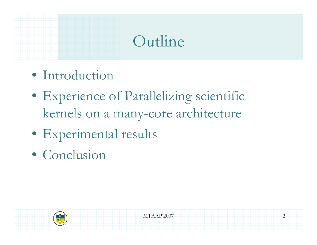#### Outline

- Introduction
- Experience of Parallelizing scientific kernels on a many-core architecture
- Experimental results
- Conclusion

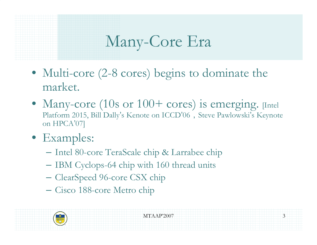# Many-Core Era

- Multi-core (2-8 cores) begins to dominate the market.
- Many-core (10s or 100+ cores) is emerging. [Intel Platform 2015, Bill Dally's Kenote on ICCD'06, Steve Pawlowski's Keynote on HPCA'07]
- Examples:
	- Intel 80-core TeraScale chip & Larrabee chip
	- IBM Cyclops-64 chip with 160 thread units
	- –ClearSpeed 96-core CSX chip
	- Cisco 188-core Metro chip

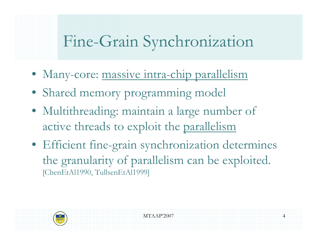### Fine-Grain Synchronization

- Many-core: massive intra-chip parallelism
- Shared memory programming model
- Multithreading: maintain a large number of active threads to exploit the parallelism
- Efficient fine-grain synchronization determines the granularity of parallelism can be exploited. [ChenEtAl1990, TullsenEtAl1999]

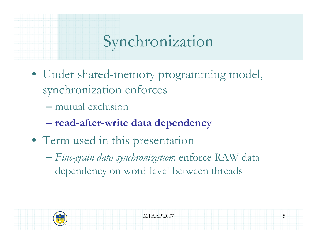# Synchronization

- Under shared-memory programming model, synchronization enforces
	- mutual exclusion
	- **read-after-write data dependency**
- Term used in this presentation
	- $\sim$  *Fine-grain data synchronization*: enforce RAW data dependency on word-level between threads

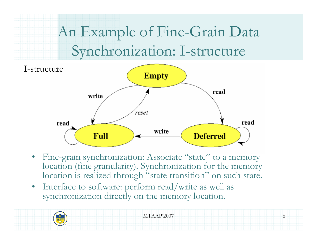# An Example of Fine-Grain Data Synchronization: I-structure



- •Fine-grain synchronization: Associate "state" to a memory location (fine granularity). Synchronization for the memory location is realized through "state transition" on such state.
- • Interface to software: perform read/write as well as synchronization directly on the memory location.

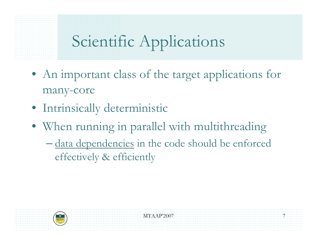# Scientific Applications

- An important class of the target applications for many-core
- Intrinsically deterministic
- When running in parallel with multithreading
	- data dependencies in the code should be enforced effectively & efficiently

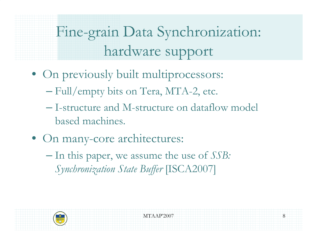Fine-grain Data Synchronization: hardware support

- On previously built multiprocessors:
	- Full/empty bits on Tera, MTA-2, etc.
	- I-structure and M-structure on dataflow model based machines.
- On many-core architectures:
	- $-$  In this paper, we assume the use of *SSB*: *Synchronization State Buffer* [ISCA2007]

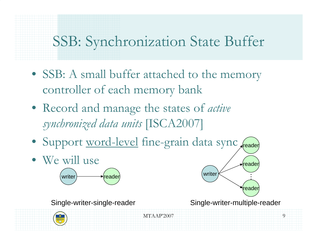### SSB: Synchronization State Buffer

- SSB: A small buffer attached to the memory controller of each memory bank
- Record and manage the states of *active synchronized data units* [ISCA2007]
- Support word-level fine-grain data sync
- We will use



Single-writer-single-reader

Single-writer-multiple-reader

reader

…

reader

writer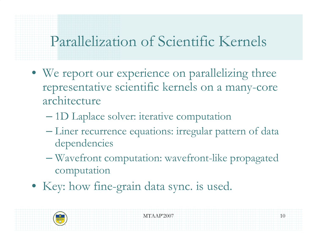#### Parallelization of Scientific Kernels

- We report our experience on parallelizing three representative scientific kernels on a many-core architecture
	- $\sim$ 1D Laplace solver: iterative computation
	- $\sim$  Liner recurrence equations: irregular pattern of data dependencies
	- $\sim$  Wavefront computation: wavefront-like propagated computation
- Key: how fine-grain data sync. is used.

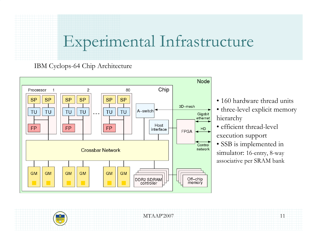### Experimental Infrastructure

#### IBM Cyclops-64 Chip Architecture



- 160 hardware thread units
- three-level explicit memory hierarchy
- efficient thread-level execution support
- SSB is implemented in simulator: 16-entry, 8-way associative per SRAM bank

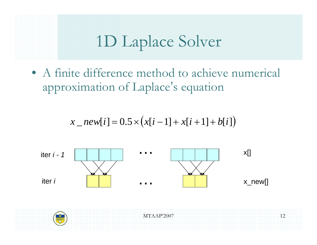# 1D Laplace Solver

• A finite difference method to achieve numerical approximation of Laplace's equation

$$
x\_new[i] = 0.5 \times (x[i-1] + x[i+1] + b[i])
$$



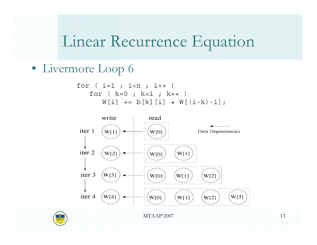#### Linear Recurrence Equation

```
• Livermore Loop 6
```

$$
\begin{array}{lcl} \text{for} & \text{if } i < n; i++) \\ \text{for} & \text{if } k = 0; k < i; k++) \\ & \text{if } i & j & k++) \\ & \text{if } i & j & j & k \end{array}
$$

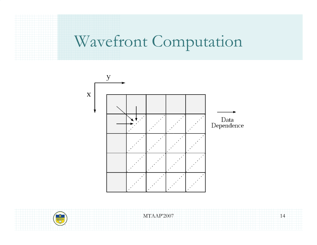#### Wavefront Computation



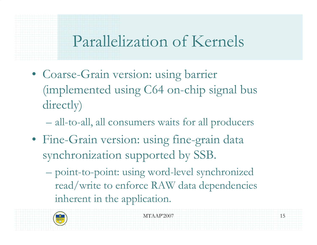# Parallelization of Kernels

• Coarse-Grain version: using barrier (implemented using C64 on-chip signal bus directly)

all-to-all, all consumers waits for all producers

- Fine-Grain version: using fine-grain data synchronization supported by SSB.
	- point-to-point: using word-level synchronized read/write to enforce RAW data dependencies inherent in the application.

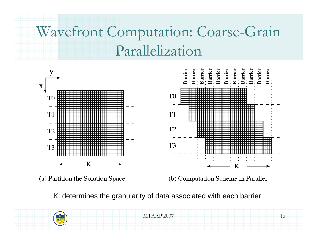# Wavefront Computation: Coarse-Grain Parallelization



(a) Partition the Solution Space

(b) Computation Scheme in Parallel

K: determines the granularity of data associated with each barrier



MTAAP'2007

Barrier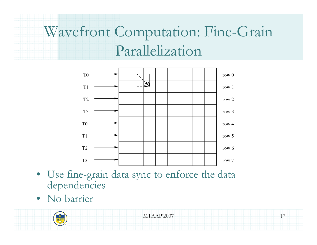# Wavefront Computation: Fine-Grain Parallelization



- Use fine-grain data sync to enforce the data dependencies
- No barrier

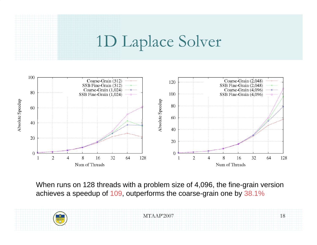# 1D Laplace Solver



When runs on 128 threads with a problem size of 4,096, the fine-grain version achieves a speedup of 109, outperforms the coarse-grain one by 38.1%

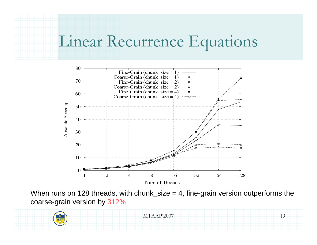#### Linear Recurrence Equations



When runs on 128 threads, with chunk\_size  $= 4$ , fine-grain version outperforms the coarse-grain version by 312%

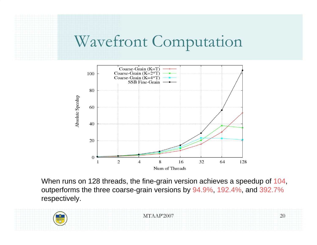### Wavefront Computation



When runs on 128 threads, the fine-grain version achieves a speedup of 104, outperforms the three coarse-grain versions by 94.9%, 192.4%, and 392.7% respectively.

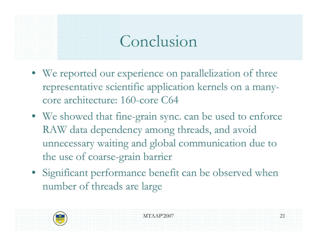#### Conclusion

- We reported our experience on parallelization of three representative scientific application kernels on a manycore architecture: 160-core C64
- We showed that fine-grain sync. can be used to enforce RAW data dependency among threads, and avoid unnecessary waiting and global communication due to the use of coarse-grain barrier
- Significant performance benefit can be observed when number of threads are large

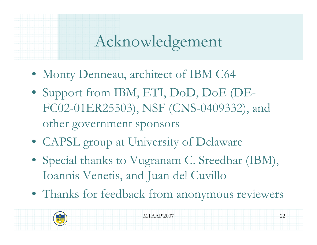# Acknowledgement

- Monty Denneau, architect of IBM C64
- Support from IBM, ETI, DoD, DoE (DE-FC02-01ER25503), NSF (CNS-0409332), and other government sponsors
- CAPSL group at University of Delaware
- Special thanks to Vugranam C. Sreedhar (IBM), Ioannis Venetis, and Juan del Cuvillo
- Thanks for feedback from anonymous reviewers